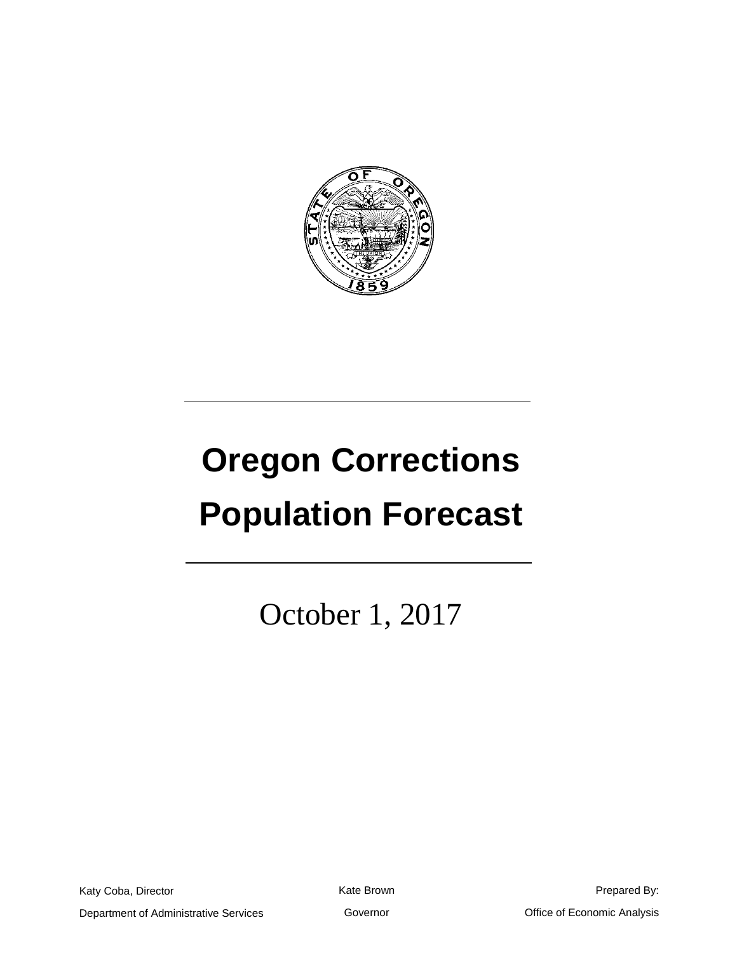

# **Oregon Corrections Population Forecast**

October 1, 2017

Katy Coba, Director Department of Administrative Services Kate Brown

Prepared By: Office of Economic Analysis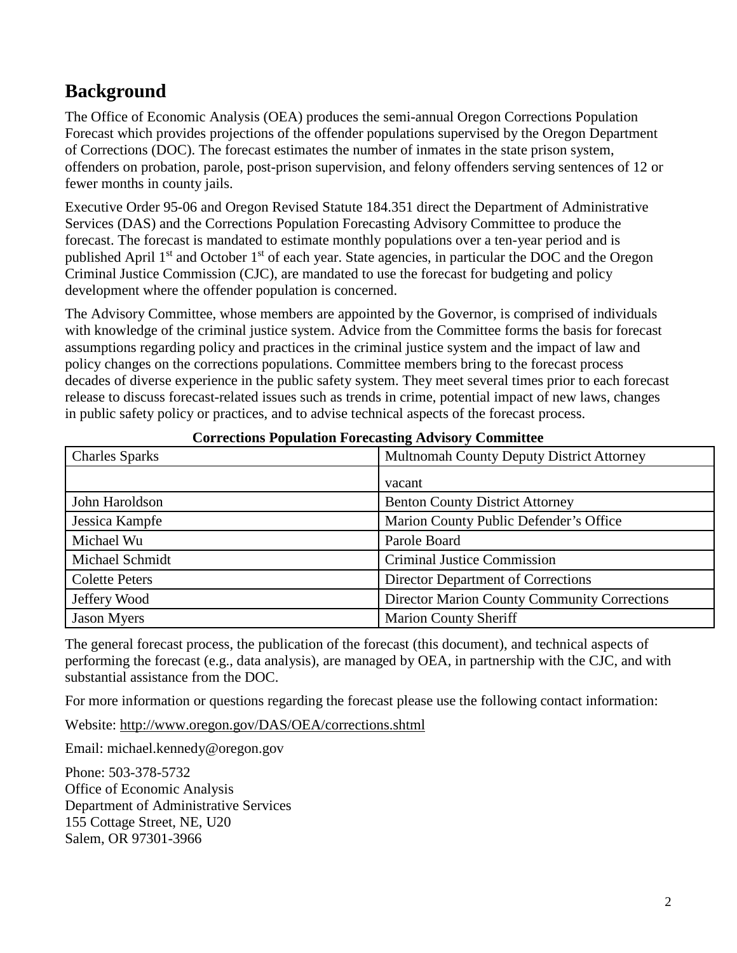# **Background**

The Office of Economic Analysis (OEA) produces the semi-annual Oregon Corrections Population Forecast which provides projections of the offender populations supervised by the Oregon Department of Corrections (DOC). The forecast estimates the number of inmates in the state prison system, offenders on probation, parole, post-prison supervision, and felony offenders serving sentences of 12 or fewer months in county jails.

Executive Order 95-06 and Oregon Revised Statute 184.351 direct the Department of Administrative Services (DAS) and the Corrections Population Forecasting Advisory Committee to produce the forecast. The forecast is mandated to estimate monthly populations over a ten-year period and is published April 1<sup>st</sup> and October 1<sup>st</sup> of each year. State agencies, in particular the DOC and the Oregon Criminal Justice Commission (CJC), are mandated to use the forecast for budgeting and policy development where the offender population is concerned.

The Advisory Committee, whose members are appointed by the Governor, is comprised of individuals with knowledge of the criminal justice system. Advice from the Committee forms the basis for forecast assumptions regarding policy and practices in the criminal justice system and the impact of law and policy changes on the corrections populations. Committee members bring to the forecast process decades of diverse experience in the public safety system. They meet several times prior to each forecast release to discuss forecast-related issues such as trends in crime, potential impact of new laws, changes in public safety policy or practices, and to advise technical aspects of the forecast process.

| <b>Charles Sparks</b> | <b>Multnomah County Deputy District Attorney</b>    |
|-----------------------|-----------------------------------------------------|
|                       | vacant                                              |
| John Haroldson        | <b>Benton County District Attorney</b>              |
| Jessica Kampfe        | Marion County Public Defender's Office              |
| Michael Wu            | Parole Board                                        |
| Michael Schmidt       | <b>Criminal Justice Commission</b>                  |
| <b>Colette Peters</b> | Director Department of Corrections                  |
| Jeffery Wood          | <b>Director Marion County Community Corrections</b> |
| <b>Jason Myers</b>    | <b>Marion County Sheriff</b>                        |

#### **Corrections Population Forecasting Advisory Committee**

The general forecast process, the publication of the forecast (this document), and technical aspects of performing the forecast (e.g., data analysis), are managed by OEA, in partnership with the CJC, and with substantial assistance from the DOC.

For more information or questions regarding the forecast please use the following contact information:

Website:<http://www.oregon.gov/DAS/OEA/corrections.shtml>

Email: michael.kennedy@oregon.gov

Phone: 503-378-5732 Office of Economic Analysis Department of Administrative Services 155 Cottage Street, NE, U20 Salem, OR 97301-3966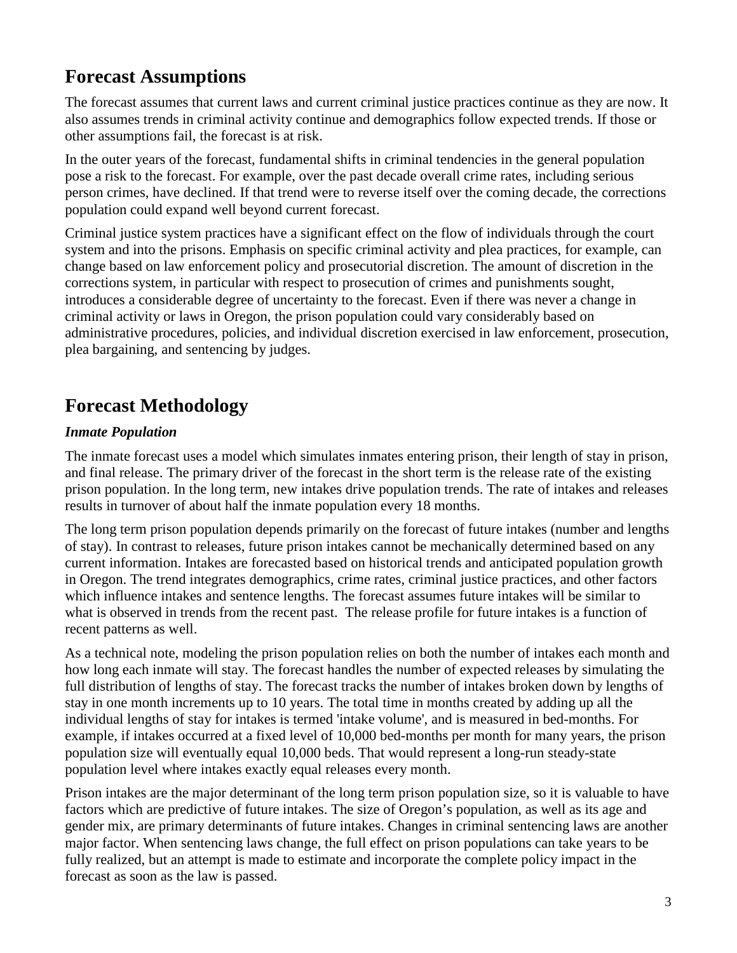# **Forecast Assumptions**

The forecast assumes that current laws and current criminal justice practices continue as they are now. It also assumes trends in criminal activity continue and demographics follow expected trends. If those or other assumptions fail, the forecast is at risk.

In the outer years of the forecast, fundamental shifts in criminal tendencies in the general population pose a risk to the forecast. For example, over the past decade overall crime rates, including serious person crimes, have declined. If that trend were to reverse itself over the coming decade, the corrections population could expand well beyond current forecast.

Criminal justice system practices have a significant effect on the flow of individuals through the court system and into the prisons. Emphasis on specific criminal activity and plea practices, for example, can change based on law enforcement policy and prosecutorial discretion. The amount of discretion in the corrections system, in particular with respect to prosecution of crimes and punishments sought, introduces a considerable degree of uncertainty to the forecast. Even if there was never a change in criminal activity or laws in Oregon, the prison population could vary considerably based on administrative procedures, policies, and individual discretion exercised in law enforcement, prosecution, plea bargaining, and sentencing by judges.

# **Forecast Methodology**

#### *Inmate Population*

The inmate forecast uses a model which simulates inmates entering prison, their length of stay in prison, and final release. The primary driver of the forecast in the short term is the release rate of the existing prison population. In the long term, new intakes drive population trends. The rate of intakes and releases results in turnover of about half the inmate population every 18 months.

The long term prison population depends primarily on the forecast of future intakes (number and lengths of stay). In contrast to releases, future prison intakes cannot be mechanically determined based on any current information. Intakes are forecasted based on historical trends and anticipated population growth in Oregon. The trend integrates demographics, crime rates, criminal justice practices, and other factors which influence intakes and sentence lengths. The forecast assumes future intakes will be similar to what is observed in trends from the recent past. The release profile for future intakes is a function of recent patterns as well.

As a technical note, modeling the prison population relies on both the number of intakes each month and how long each inmate will stay. The forecast handles the number of expected releases by simulating the full distribution of lengths of stay. The forecast tracks the number of intakes broken down by lengths of stay in one month increments up to 10 years. The total time in months created by adding up all the individual lengths of stay for intakes is termed 'intake volume', and is measured in bed-months. For example, if intakes occurred at a fixed level of 10,000 bed-months per month for many years, the prison population size will eventually equal 10,000 beds. That would represent a long-run steady-state population level where intakes exactly equal releases every month.

Prison intakes are the major determinant of the long term prison population size, so it is valuable to have factors which are predictive of future intakes. The size of Oregon's population, as well as its age and gender mix, are primary determinants of future intakes. Changes in criminal sentencing laws are another major factor. When sentencing laws change, the full effect on prison populations can take years to be fully realized, but an attempt is made to estimate and incorporate the complete policy impact in the forecast as soon as the law is passed.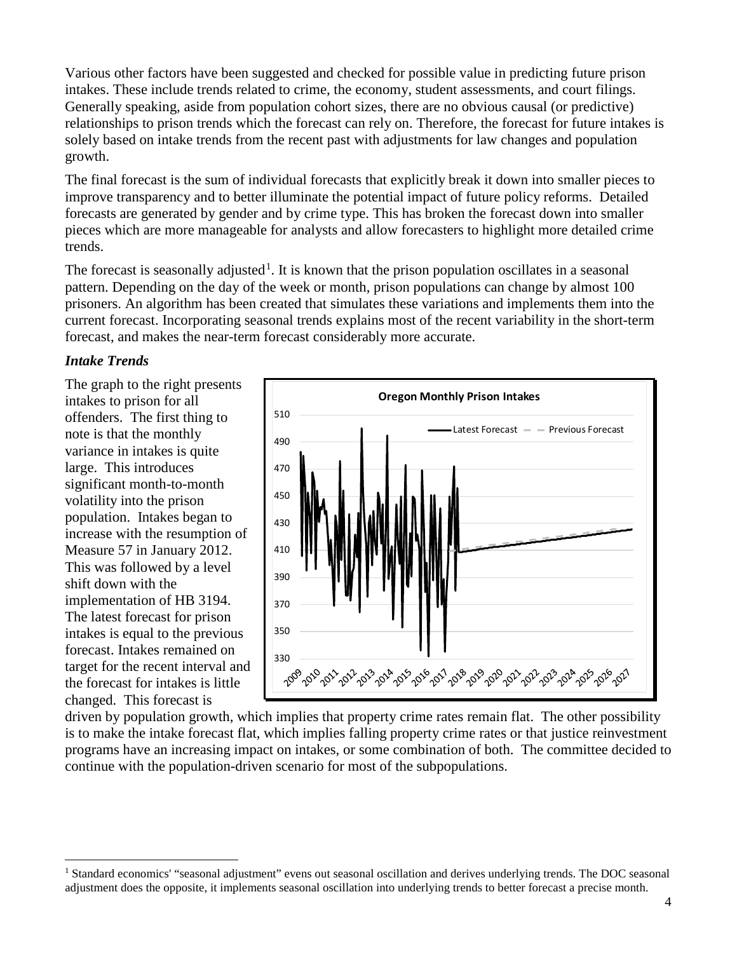Various other factors have been suggested and checked for possible value in predicting future prison intakes. These include trends related to crime, the economy, student assessments, and court filings. Generally speaking, aside from population cohort sizes, there are no obvious causal (or predictive) relationships to prison trends which the forecast can rely on. Therefore, the forecast for future intakes is solely based on intake trends from the recent past with adjustments for law changes and population growth.

The final forecast is the sum of individual forecasts that explicitly break it down into smaller pieces to improve transparency and to better illuminate the potential impact of future policy reforms. Detailed forecasts are generated by gender and by crime type. This has broken the forecast down into smaller pieces which are more manageable for analysts and allow forecasters to highlight more detailed crime trends.

The forecast is seasonally adjusted<sup>[1](#page-3-0)</sup>. It is known that the prison population oscillates in a seasonal pattern. Depending on the day of the week or month, prison populations can change by almost 100 prisoners. An algorithm has been created that simulates these variations and implements them into the current forecast. Incorporating seasonal trends explains most of the recent variability in the short-term forecast, and makes the near-term forecast considerably more accurate.

#### *Intake Trends*

The graph to the right presents intakes to prison for all offenders. The first thing to note is that the monthly variance in intakes is quite large. This introduces significant month-to-month volatility into the prison population. Intakes began to increase with the resumption of Measure 57 in January 2012. This was followed by a level shift down with the implementation of HB 3194. The latest forecast for prison intakes is equal to the previous forecast. Intakes remained on target for the recent interval and the forecast for intakes is little changed. This forecast is



driven by population growth, which implies that property crime rates remain flat. The other possibility is to make the intake forecast flat, which implies falling property crime rates or that justice reinvestment programs have an increasing impact on intakes, or some combination of both. The committee decided to continue with the population-driven scenario for most of the subpopulations.

<span id="page-3-0"></span><sup>&</sup>lt;sup>1</sup> Standard economics' "seasonal adjustment" evens out seasonal oscillation and derives underlying trends. The DOC seasonal adjustment does the opposite, it implements seasonal oscillation into underlying trends to better forecast a precise month.  $\overline{a}$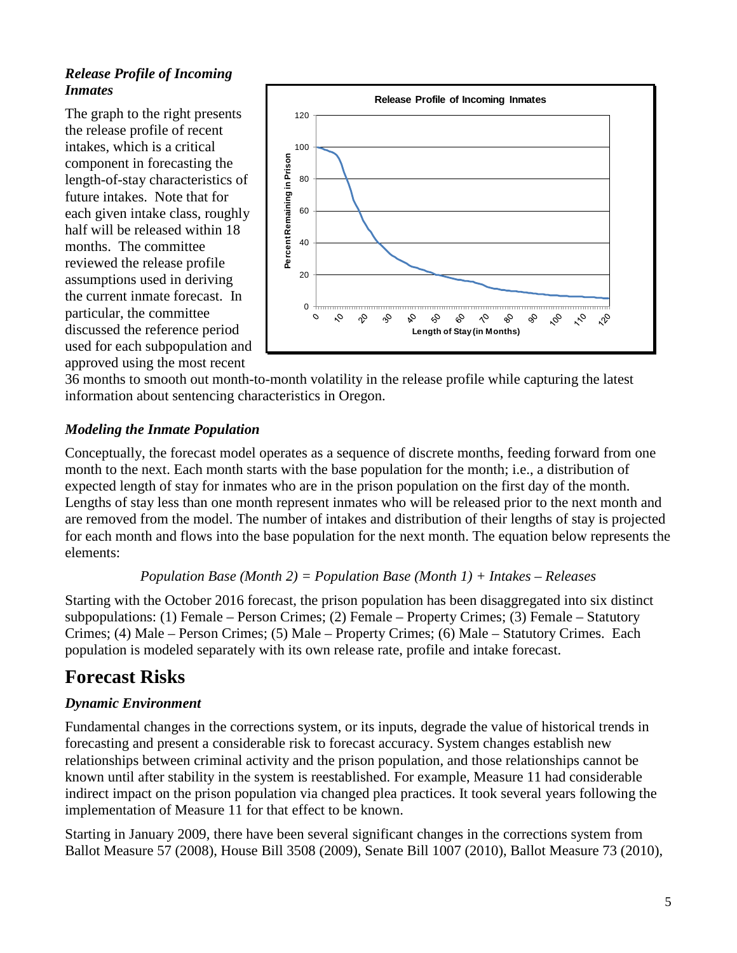## *Release Profile of Incoming Inmates*

The graph to the right presents the release profile of recent intakes, which is a critical component in forecasting the length-of-stay characteristics of future intakes. Note that for each given intake class, roughly half will be released within 18 months. The committee reviewed the release profile assumptions used in deriving the current inmate forecast. In particular, the committee discussed the reference period used for each subpopulation and approved using the most recent



36 months to smooth out month-to-month volatility in the release profile while capturing the latest information about sentencing characteristics in Oregon.

#### *Modeling the Inmate Population*

Conceptually, the forecast model operates as a sequence of discrete months, feeding forward from one month to the next. Each month starts with the base population for the month; i.e., a distribution of expected length of stay for inmates who are in the prison population on the first day of the month. Lengths of stay less than one month represent inmates who will be released prior to the next month and are removed from the model. The number of intakes and distribution of their lengths of stay is projected for each month and flows into the base population for the next month. The equation below represents the elements:

#### *Population Base (Month 2) = Population Base (Month 1) + Intakes – Releases*

Starting with the October 2016 forecast, the prison population has been disaggregated into six distinct subpopulations: (1) Female – Person Crimes; (2) Female – Property Crimes; (3) Female – Statutory Crimes; (4) Male – Person Crimes; (5) Male – Property Crimes; (6) Male – Statutory Crimes. Each population is modeled separately with its own release rate, profile and intake forecast.

## **Forecast Risks**

#### *Dynamic Environment*

Fundamental changes in the corrections system, or its inputs, degrade the value of historical trends in forecasting and present a considerable risk to forecast accuracy. System changes establish new relationships between criminal activity and the prison population, and those relationships cannot be known until after stability in the system is reestablished. For example, Measure 11 had considerable indirect impact on the prison population via changed plea practices. It took several years following the implementation of Measure 11 for that effect to be known.

Starting in January 2009, there have been several significant changes in the corrections system from Ballot Measure 57 (2008), House Bill 3508 (2009), Senate Bill 1007 (2010), Ballot Measure 73 (2010),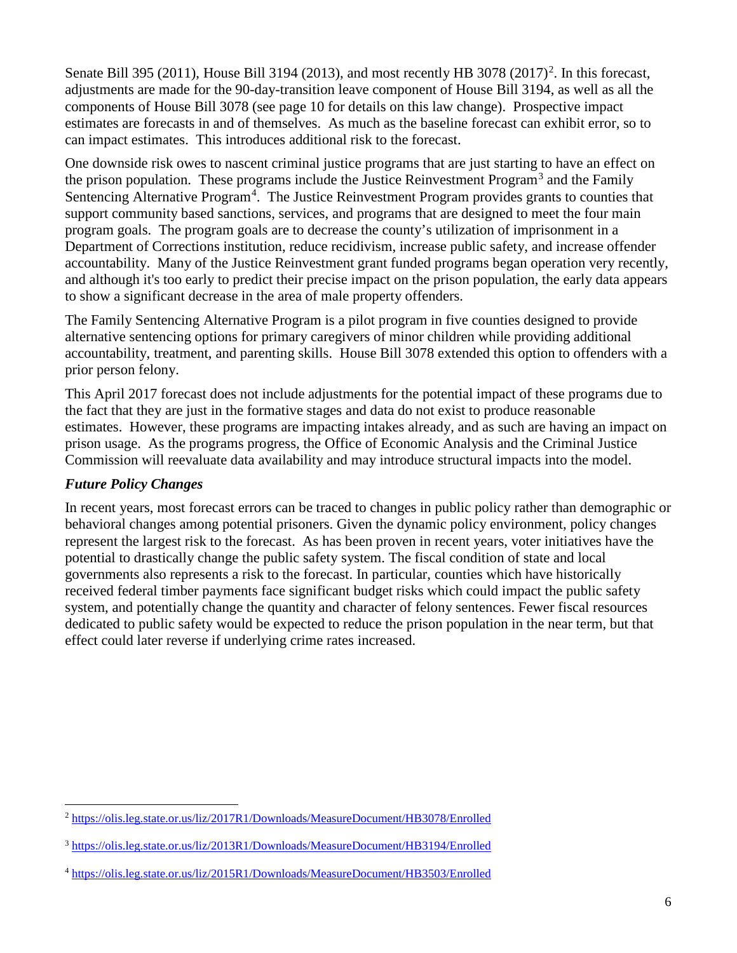Senate Bill 395 ([2](#page-5-0)011), House Bill 3194 (2013), and most recently HB 3078 (2017)<sup>2</sup>. In this forecast, adjustments are made for the 90-day-transition leave component of House Bill 3194, as well as all the components of House Bill 3078 (see page 10 for details on this law change). Prospective impact estimates are forecasts in and of themselves. As much as the baseline forecast can exhibit error, so to can impact estimates. This introduces additional risk to the forecast.

One downside risk owes to nascent criminal justice programs that are just starting to have an effect on the prison population. These programs include the Justice Reinvestment Program<sup>[3](#page-5-1)</sup> and the Family Sentencing Alternative Program<sup>[4](#page-5-2)</sup>. The Justice Reinvestment Program provides grants to counties that support community based sanctions, services, and programs that are designed to meet the four main program goals. The program goals are to decrease the county's utilization of imprisonment in a Department of Corrections institution, reduce recidivism, increase public safety, and increase offender accountability. Many of the Justice Reinvestment grant funded programs began operation very recently, and although it's too early to predict their precise impact on the prison population, the early data appears to show a significant decrease in the area of male property offenders.

The Family Sentencing Alternative Program is a pilot program in five counties designed to provide alternative sentencing options for primary caregivers of minor children while providing additional accountability, treatment, and parenting skills. House Bill 3078 extended this option to offenders with a prior person felony.

This April 2017 forecast does not include adjustments for the potential impact of these programs due to the fact that they are just in the formative stages and data do not exist to produce reasonable estimates. However, these programs are impacting intakes already, and as such are having an impact on prison usage. As the programs progress, the Office of Economic Analysis and the Criminal Justice Commission will reevaluate data availability and may introduce structural impacts into the model.

#### *Future Policy Changes*

In recent years, most forecast errors can be traced to changes in public policy rather than demographic or behavioral changes among potential prisoners. Given the dynamic policy environment, policy changes represent the largest risk to the forecast. As has been proven in recent years, voter initiatives have the potential to drastically change the public safety system. The fiscal condition of state and local governments also represents a risk to the forecast. In particular, counties which have historically received federal timber payments face significant budget risks which could impact the public safety system, and potentially change the quantity and character of felony sentences. Fewer fiscal resources dedicated to public safety would be expected to reduce the prison population in the near term, but that effect could later reverse if underlying crime rates increased.

<span id="page-5-0"></span><sup>2</sup> <https://olis.leg.state.or.us/liz/2017R1/Downloads/MeasureDocument/HB3078/Enrolled>  $\overline{a}$ 

<span id="page-5-1"></span><sup>3</sup> <https://olis.leg.state.or.us/liz/2013R1/Downloads/MeasureDocument/HB3194/Enrolled>

<span id="page-5-2"></span><sup>4</sup> <https://olis.leg.state.or.us/liz/2015R1/Downloads/MeasureDocument/HB3503/Enrolled>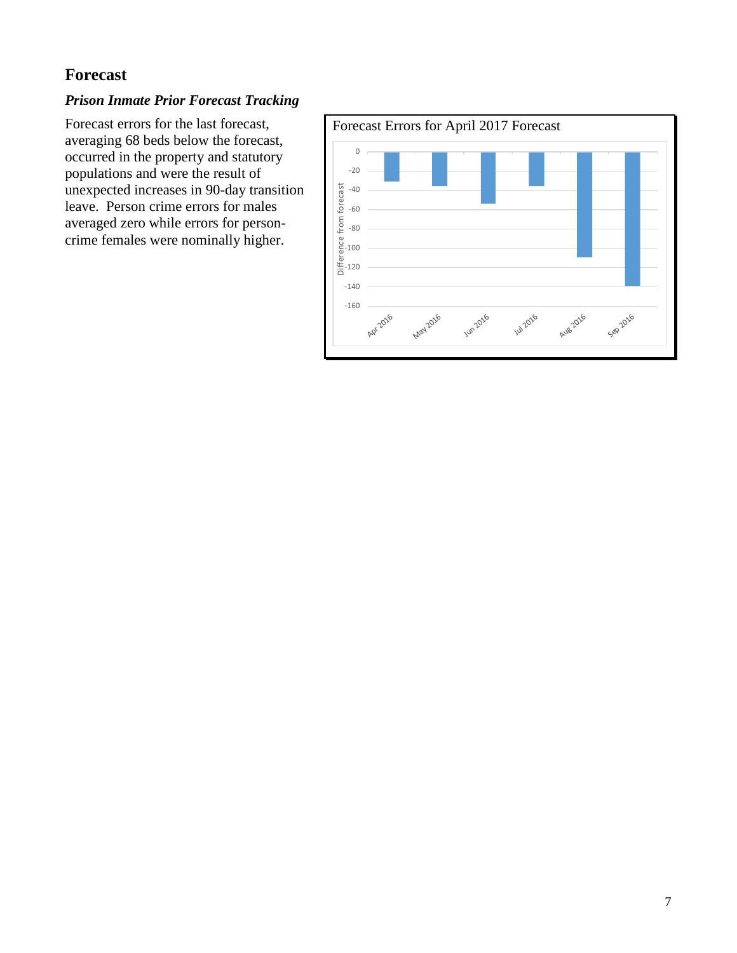## **Forecast**

## *Prison Inmate Prior Forecast Tracking*

Forecast errors for the last forecast, averaging 68 beds below the forecast, occurred in the property and statutory populations and were the result of unexpected increases in 90-day transition leave. Person crime errors for males averaged zero while errors for personcrime females were nominally higher.

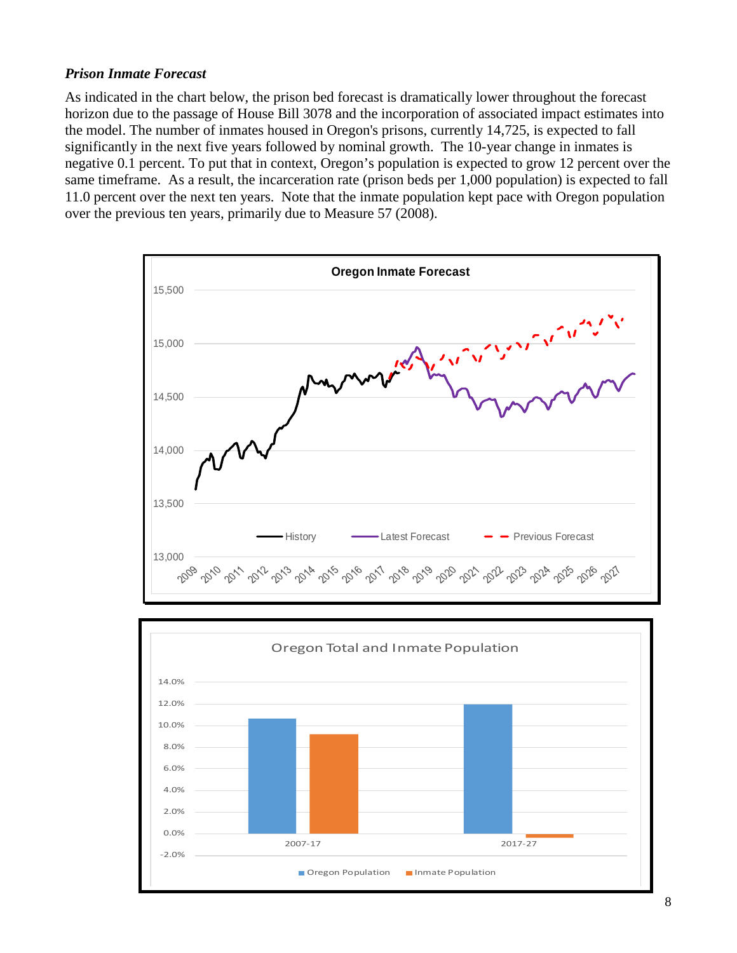#### *Prison Inmate Forecast*

As indicated in the chart below, the prison bed forecast is dramatically lower throughout the forecast horizon due to the passage of House Bill 3078 and the incorporation of associated impact estimates into the model. The number of inmates housed in Oregon's prisons, currently 14,725, is expected to fall significantly in the next five years followed by nominal growth. The 10-year change in inmates is negative 0.1 percent. To put that in context, Oregon's population is expected to grow 12 percent over the same timeframe. As a result, the incarceration rate (prison beds per 1,000 population) is expected to fall 11.0 percent over the next ten years. Note that the inmate population kept pace with Oregon population over the previous ten years, primarily due to Measure 57 (2008).



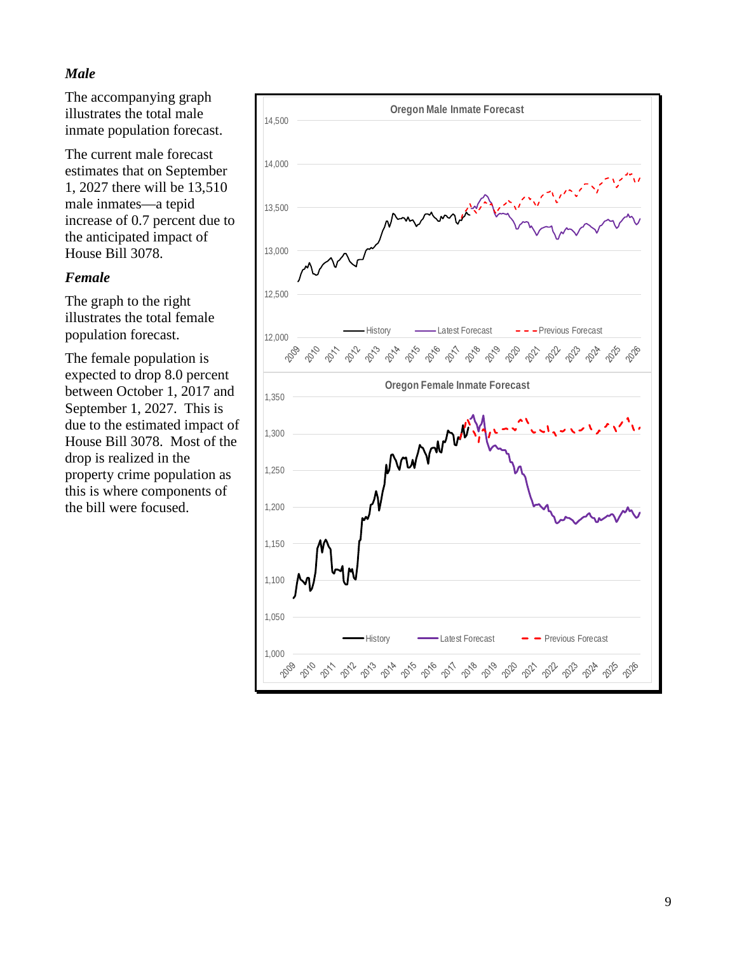## *Male*

The accompanying graph illustrates the total male inmate population forecast.

The current male forecast estimates that on September 1, 2027 there will be 13,510 male inmates—a tepid increase of 0.7 percent due to the anticipated impact of House Bill 3078.

#### *Female*

The graph to the right illustrates the total female population forecast.

The female population is expected to drop 8.0 percent between October 1, 2017 and September 1, 2027. This is due to the estimated impact of House Bill 3078. Most of the drop is realized in the property crime population as this is where components of the bill were focused.

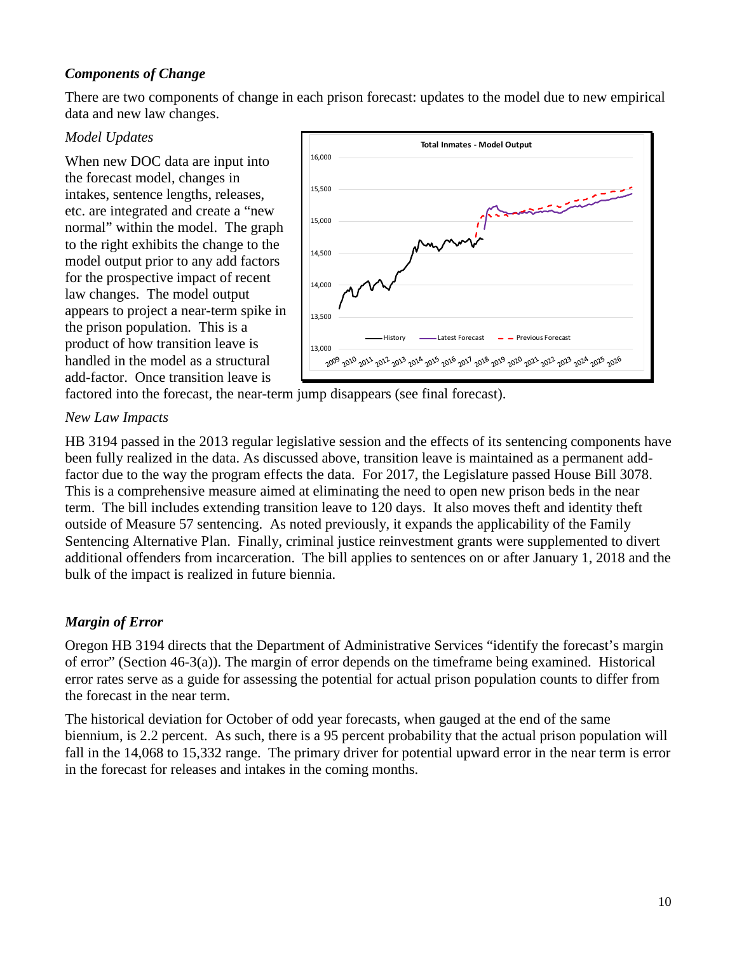## *Components of Change*

There are two components of change in each prison forecast: updates to the model due to new empirical data and new law changes.

#### *Model Updates*

When new DOC data are input into the forecast model, changes in intakes, sentence lengths, releases, etc. are integrated and create a "new normal" within the model. The graph to the right exhibits the change to the model output prior to any add factors for the prospective impact of recent law changes. The model output appears to project a near-term spike in the prison population. This is a product of how transition leave is handled in the model as a structural add-factor. Once transition leave is



factored into the forecast, the near-term jump disappears (see final forecast).

#### *New Law Impacts*

HB 3194 passed in the 2013 regular legislative session and the effects of its sentencing components have been fully realized in the data. As discussed above, transition leave is maintained as a permanent addfactor due to the way the program effects the data. For 2017, the Legislature passed House Bill 3078. This is a comprehensive measure aimed at eliminating the need to open new prison beds in the near term. The bill includes extending transition leave to 120 days. It also moves theft and identity theft outside of Measure 57 sentencing. As noted previously, it expands the applicability of the Family Sentencing Alternative Plan. Finally, criminal justice reinvestment grants were supplemented to divert additional offenders from incarceration. The bill applies to sentences on or after January 1, 2018 and the bulk of the impact is realized in future biennia.

#### *Margin of Error*

Oregon HB 3194 directs that the Department of Administrative Services "identify the forecast's margin of error" (Section 46-3(a)). The margin of error depends on the timeframe being examined. Historical error rates serve as a guide for assessing the potential for actual prison population counts to differ from the forecast in the near term.

The historical deviation for October of odd year forecasts, when gauged at the end of the same biennium, is 2.2 percent. As such, there is a 95 percent probability that the actual prison population will fall in the 14,068 to 15,332 range. The primary driver for potential upward error in the near term is error in the forecast for releases and intakes in the coming months.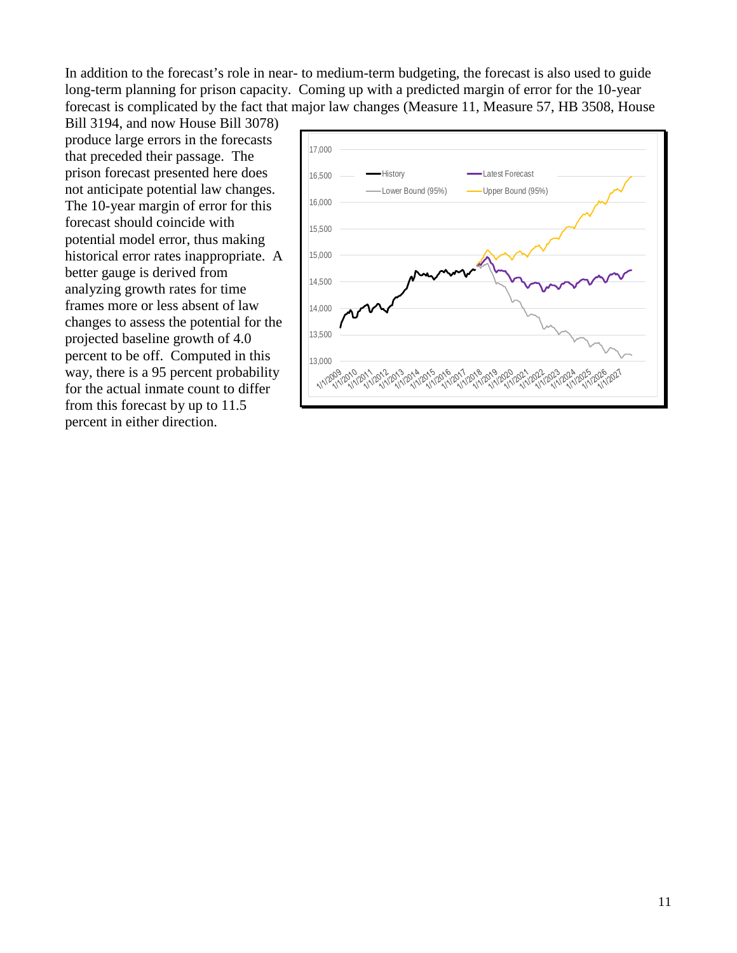In addition to the forecast's role in near- to medium-term budgeting, the forecast is also used to guide long-term planning for prison capacity. Coming up with a predicted margin of error for the 10-year forecast is complicated by the fact that major law changes (Measure 11, Measure 57, HB 3508, House

Bill 3194, and now House Bill 3078) produce large errors in the forecasts that preceded their passage. The prison forecast presented here does not anticipate potential law changes. The 10-year margin of error for this forecast should coincide with potential model error, thus making historical error rates inappropriate. A better gauge is derived from analyzing growth rates for time frames more or less absent of law changes to assess the potential for the projected baseline growth of 4.0 percent to be off. Computed in this way, there is a 95 percent probability for the actual inmate count to differ from this forecast by up to 11.5 percent in either direction.

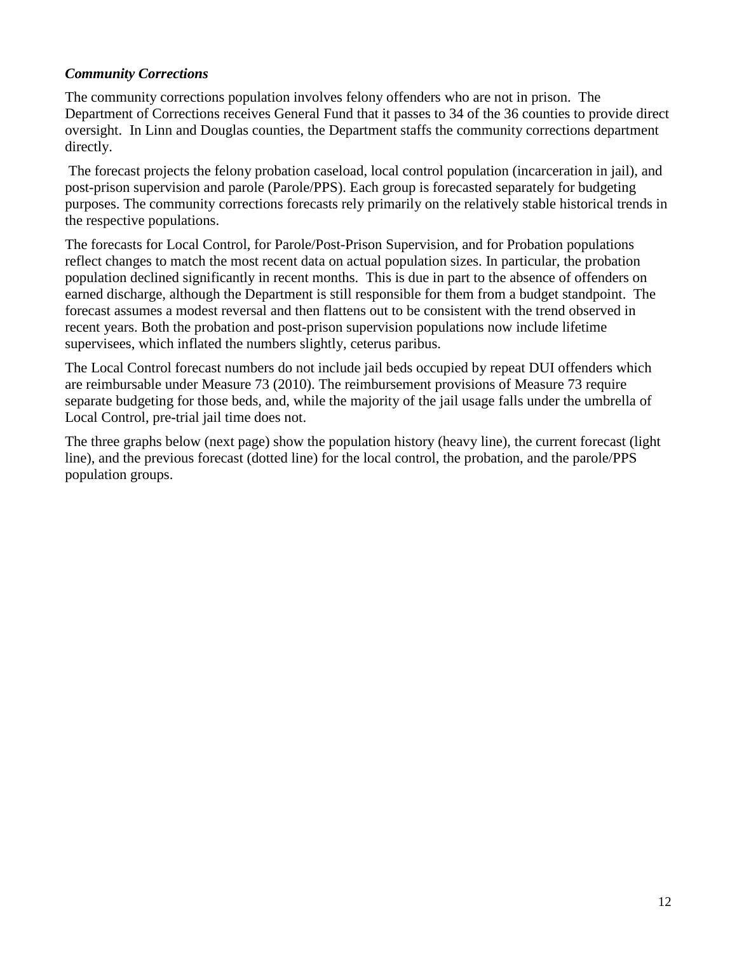#### *Community Corrections*

The community corrections population involves felony offenders who are not in prison. The Department of Corrections receives General Fund that it passes to 34 of the 36 counties to provide direct oversight. In Linn and Douglas counties, the Department staffs the community corrections department directly.

The forecast projects the felony probation caseload, local control population (incarceration in jail), and post-prison supervision and parole (Parole/PPS). Each group is forecasted separately for budgeting purposes. The community corrections forecasts rely primarily on the relatively stable historical trends in the respective populations.

The forecasts for Local Control, for Parole/Post-Prison Supervision, and for Probation populations reflect changes to match the most recent data on actual population sizes. In particular, the probation population declined significantly in recent months. This is due in part to the absence of offenders on earned discharge, although the Department is still responsible for them from a budget standpoint. The forecast assumes a modest reversal and then flattens out to be consistent with the trend observed in recent years. Both the probation and post-prison supervision populations now include lifetime supervisees, which inflated the numbers slightly, ceterus paribus.

The Local Control forecast numbers do not include jail beds occupied by repeat DUI offenders which are reimbursable under Measure 73 (2010). The reimbursement provisions of Measure 73 require separate budgeting for those beds, and, while the majority of the jail usage falls under the umbrella of Local Control, pre-trial jail time does not.

The three graphs below (next page) show the population history (heavy line), the current forecast (light line), and the previous forecast (dotted line) for the local control, the probation, and the parole/PPS population groups.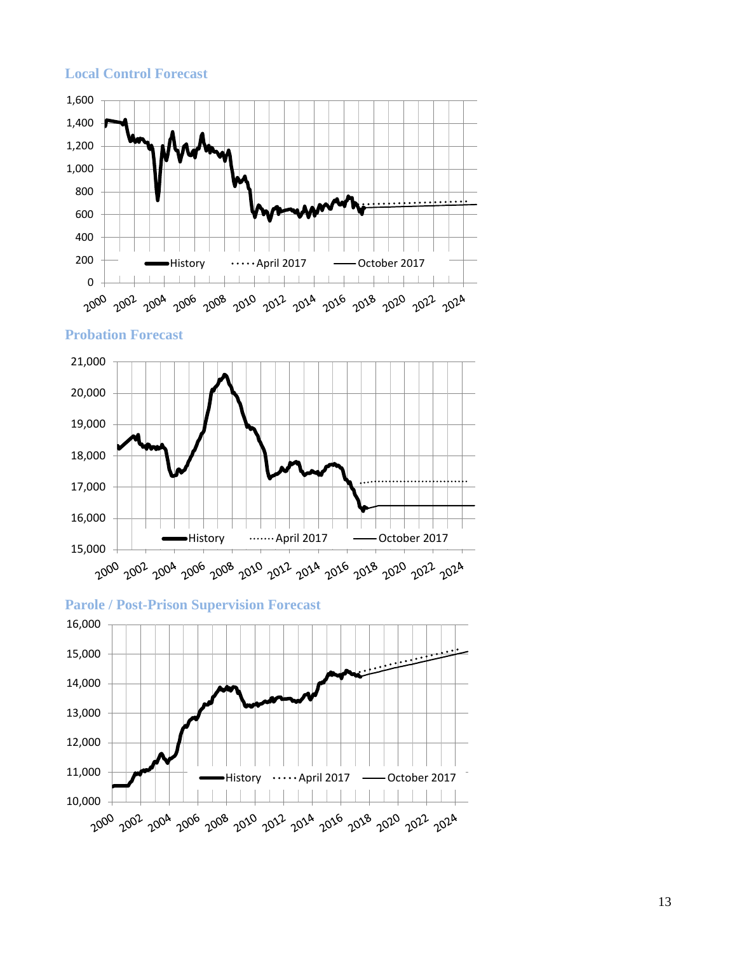#### **Local Control Forecast**



**Probation Forecast**





13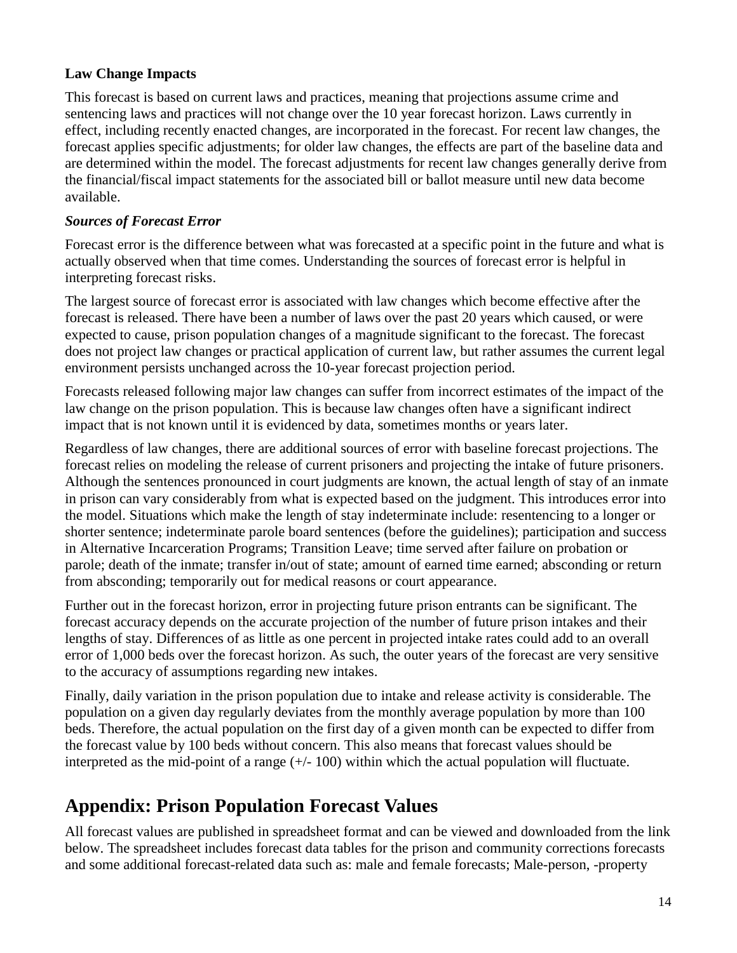#### **Law Change Impacts**

This forecast is based on current laws and practices, meaning that projections assume crime and sentencing laws and practices will not change over the 10 year forecast horizon. Laws currently in effect, including recently enacted changes, are incorporated in the forecast. For recent law changes, the forecast applies specific adjustments; for older law changes, the effects are part of the baseline data and are determined within the model. The forecast adjustments for recent law changes generally derive from the financial/fiscal impact statements for the associated bill or ballot measure until new data become available.

#### *Sources of Forecast Error*

Forecast error is the difference between what was forecasted at a specific point in the future and what is actually observed when that time comes. Understanding the sources of forecast error is helpful in interpreting forecast risks.

The largest source of forecast error is associated with law changes which become effective after the forecast is released. There have been a number of laws over the past 20 years which caused, or were expected to cause, prison population changes of a magnitude significant to the forecast. The forecast does not project law changes or practical application of current law, but rather assumes the current legal environment persists unchanged across the 10-year forecast projection period.

Forecasts released following major law changes can suffer from incorrect estimates of the impact of the law change on the prison population. This is because law changes often have a significant indirect impact that is not known until it is evidenced by data, sometimes months or years later.

Regardless of law changes, there are additional sources of error with baseline forecast projections. The forecast relies on modeling the release of current prisoners and projecting the intake of future prisoners. Although the sentences pronounced in court judgments are known, the actual length of stay of an inmate in prison can vary considerably from what is expected based on the judgment. This introduces error into the model. Situations which make the length of stay indeterminate include: resentencing to a longer or shorter sentence; indeterminate parole board sentences (before the guidelines); participation and success in Alternative Incarceration Programs; Transition Leave; time served after failure on probation or parole; death of the inmate; transfer in/out of state; amount of earned time earned; absconding or return from absconding; temporarily out for medical reasons or court appearance.

Further out in the forecast horizon, error in projecting future prison entrants can be significant. The forecast accuracy depends on the accurate projection of the number of future prison intakes and their lengths of stay. Differences of as little as one percent in projected intake rates could add to an overall error of 1,000 beds over the forecast horizon. As such, the outer years of the forecast are very sensitive to the accuracy of assumptions regarding new intakes.

Finally, daily variation in the prison population due to intake and release activity is considerable. The population on a given day regularly deviates from the monthly average population by more than 100 beds. Therefore, the actual population on the first day of a given month can be expected to differ from the forecast value by 100 beds without concern. This also means that forecast values should be interpreted as the mid-point of a range  $(+/- 100)$  within which the actual population will fluctuate.

# **Appendix: Prison Population Forecast Values**

All forecast values are published in spreadsheet format and can be viewed and downloaded from the link below. The spreadsheet includes forecast data tables for the prison and community corrections forecasts and some additional forecast-related data such as: male and female forecasts; Male-person, -property